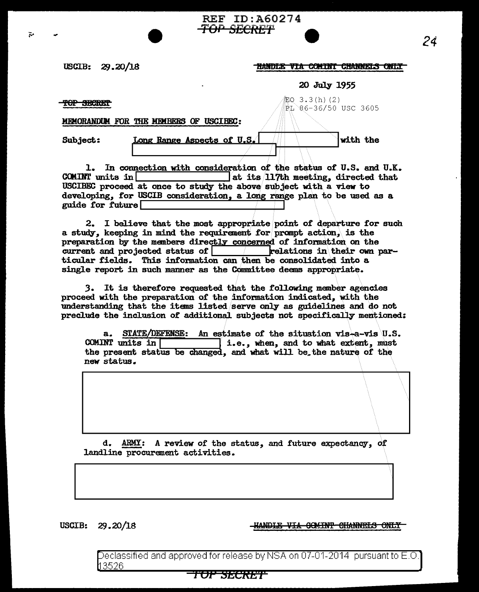## $USCIB: 29.20/18$

## **HANDLE VIA COMINT CHANNELS ONLY**

20 July 1955

PL 86-36/50 USC 3605

with the

主Q 3.3(h)(2)

'f0P *SBe1tE'l* 

ىتە

MEMORANDUM FOR THE MEMBERS OF USCIBEC:

Long Range Aspects of U.S.

Subject:

1. In connection with consideration of the status of U.S. and U.K.<br>COMINT units in  $\begin{array}{|c|c|c|c|c|c|}\n\hline\nat & \text{at its 117th meeting, directed that}\n\hline\n\end{array}$ at its  $117$ th meeting, directed that USCIBEC proceed at once to study the above subject with a view to developing, for USCIB consideration, a long range plan to be used as a guide for future

REF ID:A60274

*TOP* SECRET

2. I believe that the most appropriate point of departure for such a study, keeping in mind the requirement for pranpt action,\ is the preparation by the members directly concerned of information on the current and projected status of  $\vert$  kelations in their own particular fields. This information can then be consolidated into a single report in such manner as the Committee deems appropriate.

3. It is therefore requested that the following member agencies proceed with the preparation of the information indicated, with the understanding that the items listed serve only as guidelines and do not preclude the inclusion of additional subjects not specifically mentioned:

STATE/DEFENSE: An estimate of the situation vis-a-vis U.S.  $a<sub>z</sub>$ COMINT units in  $\Box$ i.e., when, and to what extent, must the present status be changed, and what will be the nature of the new status.

d. ARMY: A review of the status, and future expectancy, of landline procurement activities.

tion-segnal

USCIB: 29.20/18

**HANDLE VIA COMINT CHANNELS ONLY** 

Declassified and ap $\overline{\rm{proved}}$  for release by NSA on 07-01-2014  $\,$  pursuant to E.O. 3526